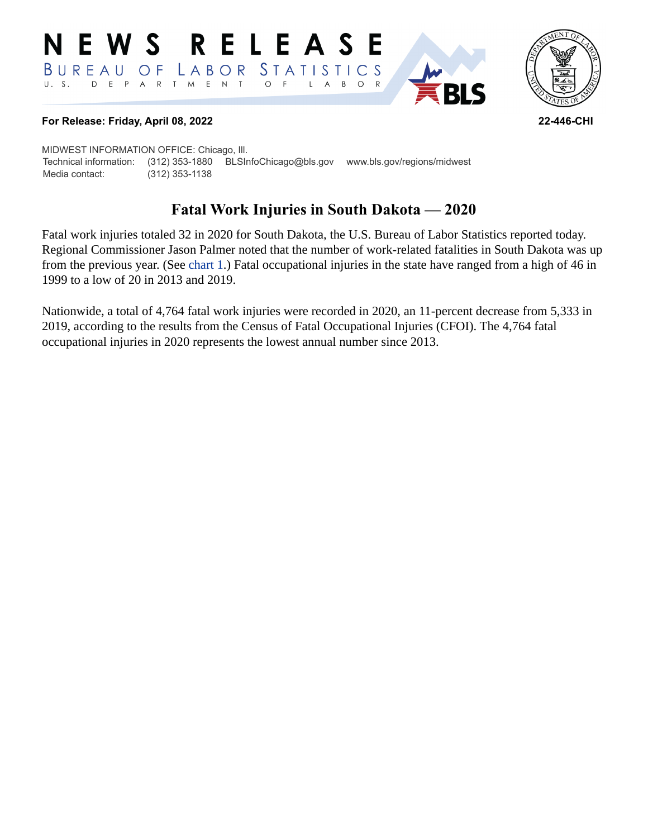#### RELEASE NEWS *STATISTICS*  $B$  U R E A U O F LABOR D E P A R T M E N T  $\circ$  $\circ$  $U. S.$  $\overline{F}$  $\mathsf{L}$  $\overline{A}$  $B$  $\mathsf{R}$



**RI S** 

#### **For Release: Friday, April 08, 2022 22-446-CHI**

MIDWEST INFORMATION OFFICE: Chicago, Ill. Technical information: (312) 353-1880 BLSInfoChicago@bls.gov www.bls.gov/regions/midwest Media contact: (312) 353-1138

# **Fatal Work Injuries in South Dakota — 2020**

Fatal work injuries totaled 32 in 2020 for South Dakota, the U.S. Bureau of Labor Statistics reported today. Regional Commissioner Jason Palmer noted that the number of work-related fatalities in South Dakota was up from the previous year. (See [chart 1](#page-1-0).) Fatal occupational injuries in the state have ranged from a high of 46 in 1999 to a low of 20 in 2013 and 2019.

Nationwide, a total of 4,764 fatal work injuries were recorded in 2020, an 11-percent decrease from 5,333 in 2019, according to the results from the Census of Fatal Occupational Injuries (CFOI). The 4,764 fatal occupational injuries in 2020 represents the lowest annual number since 2013.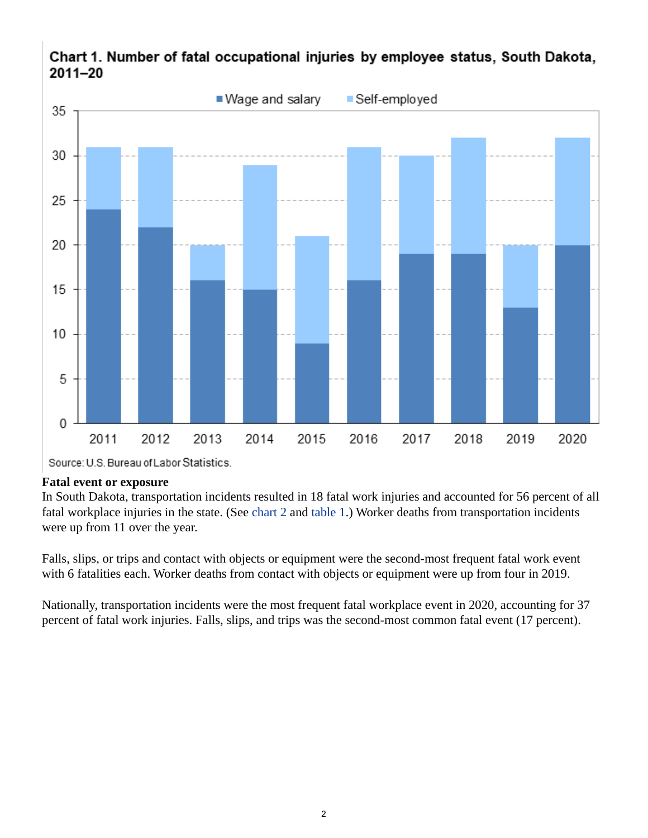

# <span id="page-1-0"></span>Chart 1. Number of fatal occupational injuries by employee status, South Dakota,  $2011 - 20$

Source: U.S. Bureau of Labor Statistics.

## **Fatal event or exposure**

In South Dakota, transportation incidents resulted in 18 fatal work injuries and accounted for 56 percent of all fatal workplace injuries in the state. (See [chart 2](#page-2-0) and [table 1.](#page-4-0)) Worker deaths from transportation incidents were up from 11 over the year.

Falls, slips, or trips and contact with objects or equipment were the second-most frequent fatal work event with 6 fatalities each. Worker deaths from contact with objects or equipment were up from four in 2019.

Nationally, transportation incidents were the most frequent fatal workplace event in 2020, accounting for 37 percent of fatal work injuries. Falls, slips, and trips was the second-most common fatal event (17 percent).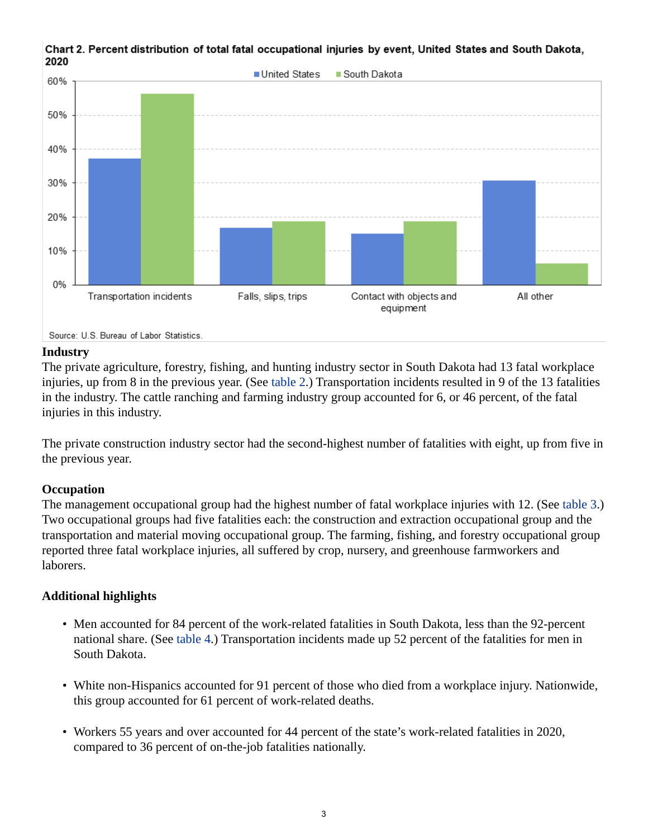

<span id="page-2-0"></span>Chart 2. Percent distribution of total fatal occupational injuries by event, United States and South Dakota, 2020

Source: U.S. Bureau of Labor Statistics.

#### **Industry**

The private agriculture, forestry, fishing, and hunting industry sector in South Dakota had 13 fatal workplace injuries, up from 8 in the previous year. (See [table 2.](#page-5-0)) Transportation incidents resulted in 9 of the 13 fatalities in the industry. The cattle ranching and farming industry group accounted for 6, or 46 percent, of the fatal injuries in this industry.

The private construction industry sector had the second-highest number of fatalities with eight, up from five in the previous year.

## **Occupation**

The management occupational group had the highest number of fatal workplace injuries with 12. (See [table 3](#page-6-0).) Two occupational groups had five fatalities each: the construction and extraction occupational group and the transportation and material moving occupational group. The farming, fishing, and forestry occupational group reported three fatal workplace injuries, all suffered by crop, nursery, and greenhouse farmworkers and laborers.

## **Additional highlights**

- Men accounted for 84 percent of the work-related fatalities in South Dakota, less than the 92-percent national share. (See [table 4](#page-7-0).) Transportation incidents made up 52 percent of the fatalities for men in South Dakota.
- White non-Hispanics accounted for 91 percent of those who died from a workplace injury. Nationwide, this group accounted for 61 percent of work-related deaths.
- Workers 55 years and over accounted for 44 percent of the state's work-related fatalities in 2020, compared to 36 percent of on-the-job fatalities nationally.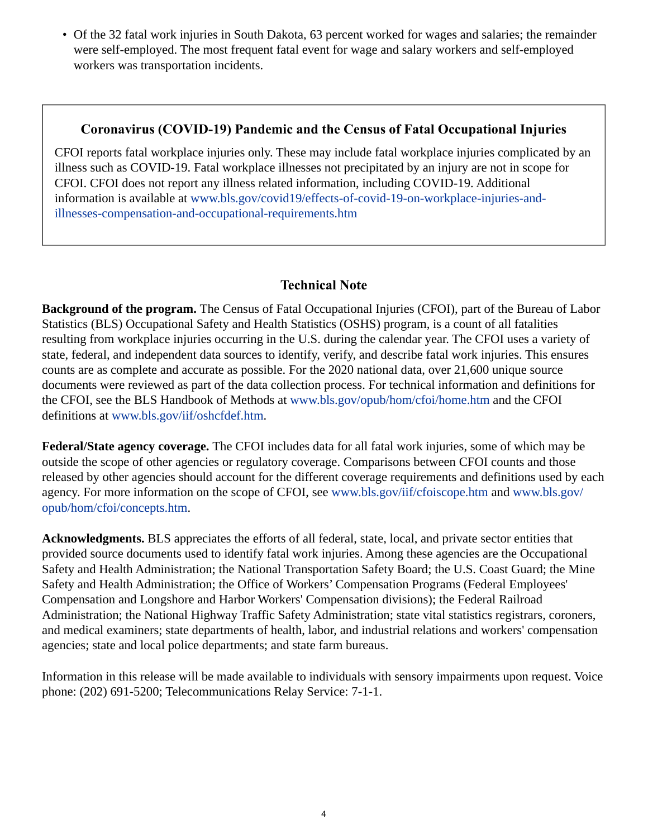• Of the 32 fatal work injuries in South Dakota, 63 percent worked for wages and salaries; the remainder were self-employed. The most frequent fatal event for wage and salary workers and self-employed workers was transportation incidents.

# **Coronavirus (COVID-19) Pandemic and the Census of Fatal Occupational Injuries**

CFOI reports fatal workplace injuries only. These may include fatal workplace injuries complicated by an illness such as COVID-19. Fatal workplace illnesses not precipitated by an injury are not in scope for CFOI. CFOI does not report any illness related information, including COVID-19. Additional information is available at [www.bls.gov/covid19/effects-of-covid-19-on-workplace-injuries-and](https://www.bls.gov/covid19/effects-of-covid-19-on-workplace-injuries-and-illnesses-compensation-and-occupational-requirements.htm)[illnesses-compensation-and-occupational-requirements.htm](https://www.bls.gov/covid19/effects-of-covid-19-on-workplace-injuries-and-illnesses-compensation-and-occupational-requirements.htm)

# **Technical Note**

**Background of the program.** The Census of Fatal Occupational Injuries (CFOI), part of the Bureau of Labor Statistics (BLS) Occupational Safety and Health Statistics (OSHS) program, is a count of all fatalities resulting from workplace injuries occurring in the U.S. during the calendar year. The CFOI uses a variety of state, federal, and independent data sources to identify, verify, and describe fatal work injuries. This ensures counts are as complete and accurate as possible. For the 2020 national data, over 21,600 unique source documents were reviewed as part of the data collection process. For technical information and definitions for the CFOI, see the BLS Handbook of Methods at [www.bls.gov/opub/hom/cfoi/home.htm](https://www.bls.gov/opub/hom/cfoi/home.htm) and the CFOI definitions at [www.bls.gov/iif/oshcfdef.htm](https://www.bls.gov/iif/oshcfdef.htm).

**Federal/State agency coverage.** The CFOI includes data for all fatal work injuries, some of which may be outside the scope of other agencies or regulatory coverage. Comparisons between CFOI counts and those released by other agencies should account for the different coverage requirements and definitions used by each agency. For more information on the scope of CFOI, see [www.bls.gov/iif/cfoiscope.htm](https://www.bls.gov/iif/cfoiscope.htm) and [www.bls.gov/](https://www.bls.gov/opub/hom/cfoi/concepts.htm) [opub/hom/cfoi/concepts.htm](https://www.bls.gov/opub/hom/cfoi/concepts.htm).

**Acknowledgments.** BLS appreciates the efforts of all federal, state, local, and private sector entities that provided source documents used to identify fatal work injuries. Among these agencies are the Occupational Safety and Health Administration; the National Transportation Safety Board; the U.S. Coast Guard; the Mine Safety and Health Administration; the Office of Workers' Compensation Programs (Federal Employees' Compensation and Longshore and Harbor Workers' Compensation divisions); the Federal Railroad Administration; the National Highway Traffic Safety Administration; state vital statistics registrars, coroners, and medical examiners; state departments of health, labor, and industrial relations and workers' compensation agencies; state and local police departments; and state farm bureaus.

Information in this release will be made available to individuals with sensory impairments upon request. Voice phone: (202) 691-5200; Telecommunications Relay Service: 7-1-1.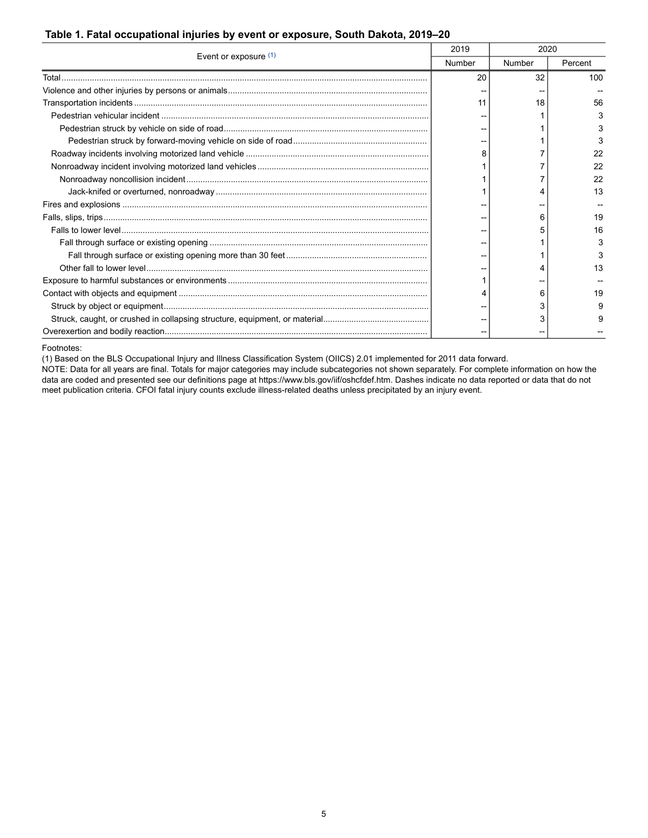#### <span id="page-4-0"></span>**Table 1. Fatal occupational injuries by event or exposure, South Dakota, 2019–20**

| Event or exposure $(1)$ | 2019   | 2020   |         |
|-------------------------|--------|--------|---------|
|                         | Number | Number | Percent |
| Total.                  | 20     | 32     | 100     |
|                         |        |        |         |
|                         | 11     | 18     | 56      |
|                         |        |        | з       |
|                         |        |        |         |
|                         |        |        | 3       |
|                         |        |        | 22      |
|                         |        |        | 22      |
|                         |        |        | 22      |
|                         |        |        | 13      |
|                         |        |        |         |
|                         |        | 6      | 19      |
|                         |        |        | 16      |
|                         |        |        | з       |
|                         |        |        | з       |
|                         |        |        | 13      |
|                         |        |        |         |
|                         |        | 6      | 19      |
|                         |        | 3      |         |
|                         |        |        |         |
|                         |        |        |         |

<span id="page-4-1"></span>Footnotes:

(1) Based on the BLS Occupational Injury and Illness Classification System (OIICS) 2.01 implemented for 2011 data forward.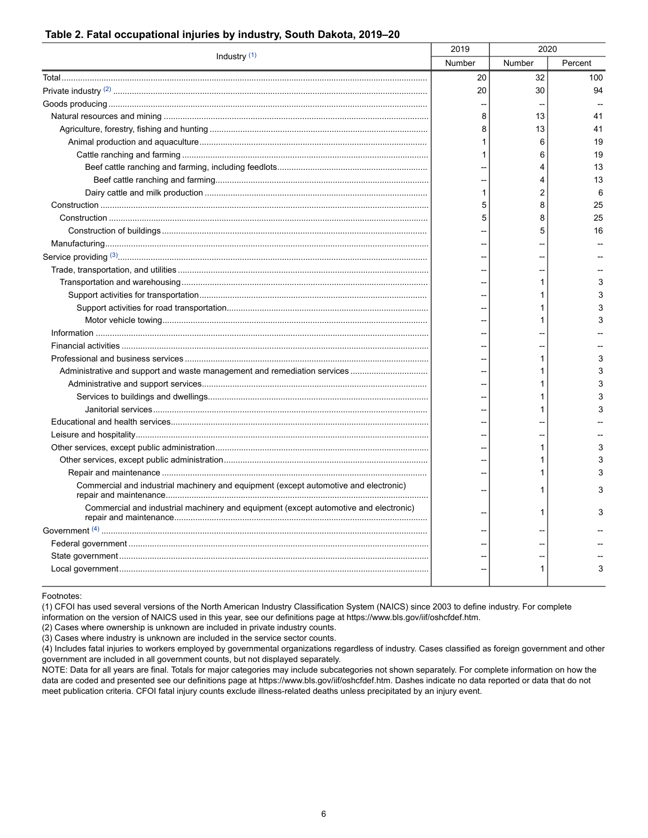| Industry <sup>(1)</sup>                                                              | 2019<br>2020 |        |         |
|--------------------------------------------------------------------------------------|--------------|--------|---------|
|                                                                                      | Number       | Number | Percent |
|                                                                                      | 20           | 32     | 100     |
|                                                                                      | 20           | 30     | 94      |
|                                                                                      |              |        |         |
|                                                                                      | 8            | 13     | 41      |
|                                                                                      | 8            | 13     | 41      |
|                                                                                      | 1            | 6      | 19      |
|                                                                                      | 1            | 6      | 19      |
|                                                                                      |              | 4      | 13      |
|                                                                                      |              | 4      | 13      |
|                                                                                      | 1            | 2      | 6       |
|                                                                                      | 5            | 8      | 25      |
|                                                                                      | 5            | 8      | 25      |
|                                                                                      |              | 5      | 16      |
|                                                                                      |              |        |         |
|                                                                                      |              |        |         |
|                                                                                      |              |        |         |
|                                                                                      |              | 1      | 3       |
|                                                                                      |              | 1      | 3       |
|                                                                                      |              | 1      | 3       |
|                                                                                      |              | 1      | 3       |
|                                                                                      |              |        |         |
|                                                                                      |              |        |         |
|                                                                                      |              | 1      | 3       |
|                                                                                      |              | 1      | 3       |
|                                                                                      |              |        | 3       |
|                                                                                      |              | 1      | 3       |
|                                                                                      |              | 1      | 3       |
|                                                                                      |              |        |         |
|                                                                                      |              |        |         |
|                                                                                      |              | 1      | 3       |
|                                                                                      |              | 1      | 3       |
|                                                                                      |              | 1      | 3       |
| Commercial and industrial machinery and equipment (except automotive and electronic) |              | 1      |         |
| Commercial and industrial machinery and equipment (except automotive and electronic) |              | 1      |         |
|                                                                                      |              |        |         |
|                                                                                      |              |        |         |
|                                                                                      |              |        |         |
|                                                                                      |              | 1      | 3       |

#### <span id="page-5-0"></span>**Table 2. Fatal occupational injuries by industry, South Dakota, 2019–20**

<span id="page-5-1"></span>Footnotes:

(1) CFOI has used several versions of the North American Industry Classification System (NAICS) since 2003 to define industry. For complete information on the version of NAICS used in this year, see our definitions page at https://www.bls.gov/iif/oshcfdef.htm.

(2) Cases where ownership is unknown are included in private industry counts.

(3) Cases where industry is unknown are included in the service sector counts.

(4) Includes fatal injuries to workers employed by governmental organizations regardless of industry. Cases classified as foreign government and other government are included in all government counts, but not displayed separately.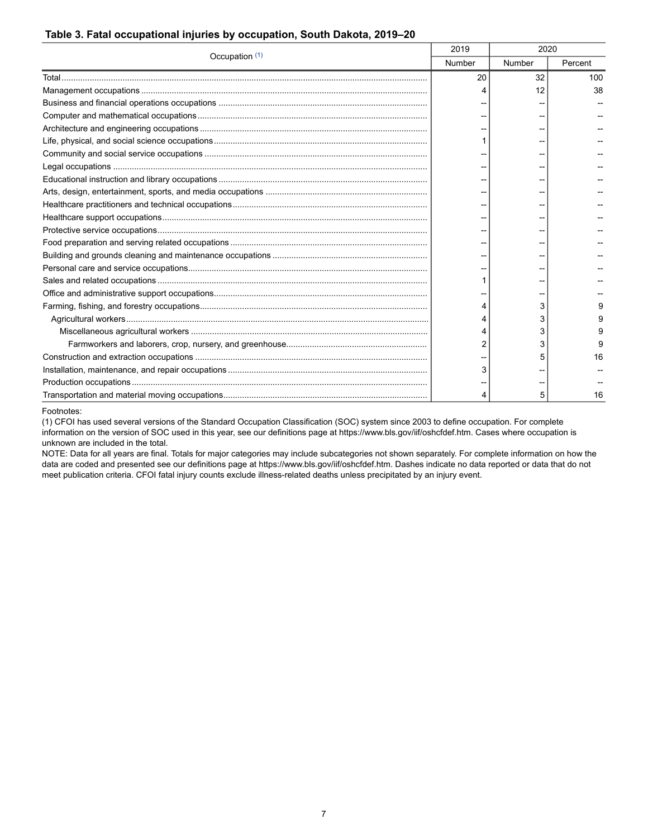#### <span id="page-6-0"></span>**Table 3. Fatal occupational injuries by occupation, South Dakota, 2019–20**

| Occupation (1) | 2019   | 2020   |         |
|----------------|--------|--------|---------|
|                | Number | Number | Percent |
|                | 20     | 32     | 100     |
|                |        | 12     | 38      |
|                |        |        |         |
|                |        |        |         |
|                |        |        |         |
|                |        |        |         |
|                |        |        |         |
|                |        |        |         |
|                |        |        |         |
|                |        |        |         |
|                |        |        |         |
|                |        |        |         |
|                |        |        |         |
|                |        |        |         |
|                |        |        |         |
|                |        |        |         |
|                |        |        |         |
|                |        |        |         |
|                |        | 3      |         |
|                |        | 3      |         |
|                |        | 3      |         |
|                |        | 3      |         |
|                |        |        | 16      |
|                |        |        |         |
|                |        |        |         |
|                |        | 5      | 16      |

<span id="page-6-1"></span>Footnotes:

(1) CFOI has used several versions of the Standard Occupation Classification (SOC) system since 2003 to define occupation. For complete information on the version of SOC used in this year, see our definitions page at https://www.bls.gov/iif/oshcfdef.htm. Cases where occupation is unknown are included in the total.